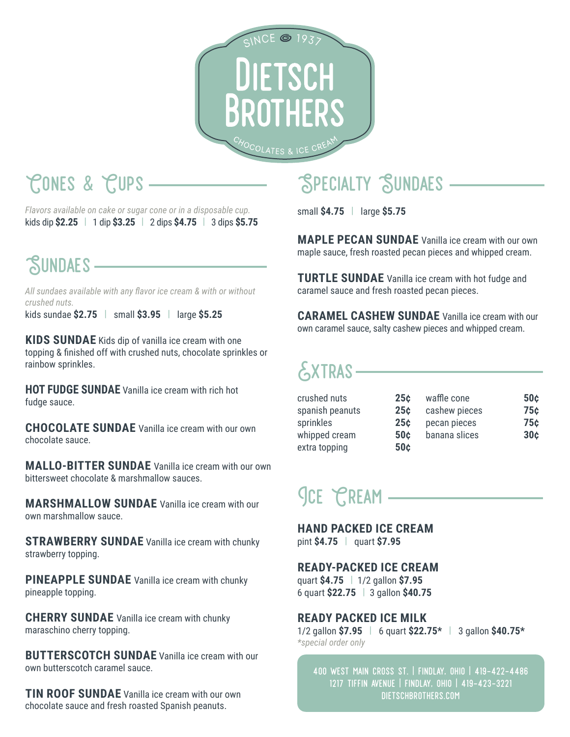

## $C<sub>C</sub>ONES & C<sub>C</sub>UPS -$

*Flavors available on cake or sugar cone or in a disposable cup.* kids dip **\$2.25** |1 dip **\$3.25** |2 dips **\$4.75** |3 dips **\$5.75**

### SUNDAES

*All sundaes available with any flavor ice cream & with or without crushed nuts.*

kids sundae **\$2.75** |small **\$3.95** |large **\$5.25**

**KIDS SUNDAE** Kids dip of vanilla ice cream with one topping & finished off with crushed nuts, chocolate sprinkles or rainbow sprinkles.

**HOT FUDGE SUNDAE** Vanilla ice cream with rich hot fudge sauce.

**CHOCOLATE SUNDAE** Vanilla ice cream with our own chocolate sauce.

**MALLO-BITTER SUNDAE** Vanilla ice cream with our own bittersweet chocolate & marshmallow sauces.

**MARSHMALLOW SUNDAE** Vanilla ice cream with our own marshmallow sauce.

**STRAWBERRY SUNDAE** Vanilla ice cream with chunky strawberry topping.

**PINEAPPLE SUNDAE** Vanilla ice cream with chunky pineapple topping.

**CHERRY SUNDAE** Vanilla ice cream with chunky maraschino cherry topping.

**BUTTERSCOTCH SUNDAE** Vanilla ice cream with our own butterscotch caramel sauce.

**TIN ROOF SUNDAE** Vanilla ice cream with our own chocolate sauce and fresh roasted Spanish peanuts.

### Specialty Sundaes

small **\$4.75** |large **\$5.75**

**MAPLE PECAN SUNDAE** Vanilla ice cream with our own maple sauce, fresh roasted pecan pieces and whipped cream.

**TURTLE SUNDAE** Vanilla ice cream with hot fudge and caramel sauce and fresh roasted pecan pieces.

**CARAMEL CASHEW SUNDAE** Vanilla ice cream with our own caramel sauce, salty cashew pieces and whipped cream.

### $\epsilon$ XTRAS –

crushed nuts **25¢** spanish peanuts **25¢** sprinkles **25¢** whipped cream **50¢** extra topping **50¢**

| ¢ | waffle cone   | 50c |
|---|---------------|-----|
| ¢ | cashew pieces | 75¢ |
| Ċ | pecan pieces  | 75¢ |
| Ċ | banana slices | 30c |
| ¢ |               |     |

# **JCE CREAM**

**HAND PACKED ICE CREAM** pint **\$4.75** |quart **\$7.95**

#### **READY-PACKED ICE CREAM**

quart **\$4.75** |1/2 gallon **\$7.95** 6 quart **\$22.75** |3 gallon **\$40.75**

#### **READY PACKED ICE MILK**

1/2 gallon **\$7.95** |6 quart **\$22.75\*** |3 gallon **\$40.75\*** *\*special order only*

400 west main cross st. | findlay, ohio | 419-422-4486 1217 tiffin avenue | findlay, ohio | 419-423-3221 dietschbrothers.com